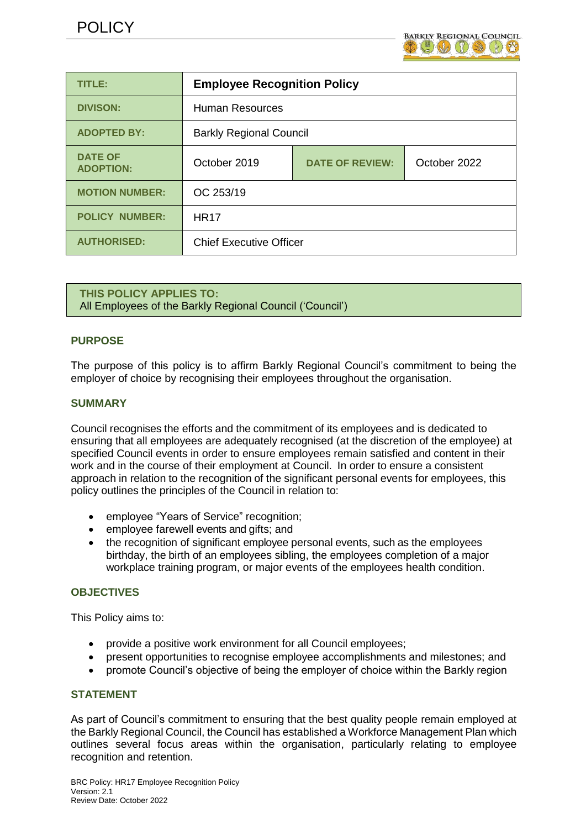

| TITLE:                             | <b>Employee Recognition Policy</b> |                        |              |
|------------------------------------|------------------------------------|------------------------|--------------|
| <b>DIVISON:</b>                    | Human Resources                    |                        |              |
| <b>ADOPTED BY:</b>                 | <b>Barkly Regional Council</b>     |                        |              |
| <b>DATE OF</b><br><b>ADOPTION:</b> | October 2019                       | <b>DATE OF REVIEW:</b> | October 2022 |
| <b>MOTION NUMBER:</b>              | OC 253/19                          |                        |              |
| <b>POLICY NUMBER:</b>              | <b>HR17</b>                        |                        |              |
| <b>AUTHORISED:</b>                 | <b>Chief Executive Officer</b>     |                        |              |

**THIS POLICY APPLIES TO:** All Employees of the Barkly Regional Council ('Council')

# **PURPOSE**

The purpose of this policy is to affirm Barkly Regional Council's commitment to being the employer of choice by recognising their employees throughout the organisation.

## **SUMMARY**

Council recognises the efforts and the commitment of its employees and is dedicated to ensuring that all employees are adequately recognised (at the discretion of the employee) at specified Council events in order to ensure employees remain satisfied and content in their work and in the course of their employment at Council. In order to ensure a consistent approach in relation to the recognition of the significant personal events for employees, this policy outlines the principles of the Council in relation to:

- employee "Years of Service" recognition;
- employee farewell events and gifts; and
- the recognition of significant employee personal events, such as the employees birthday, the birth of an employees sibling, the employees completion of a major workplace training program, or major events of the employees health condition.

# **OBJECTIVES**

This Policy aims to:

- provide a positive work environment for all Council employees;
- present opportunities to recognise employee accomplishments and milestones; and
- promote Council's objective of being the employer of choice within the Barkly region

# **STATEMENT**

As part of Council's commitment to ensuring that the best quality people remain employed at the Barkly Regional Council, the Council has established a Workforce Management Plan which outlines several focus areas within the organisation, particularly relating to employee recognition and retention.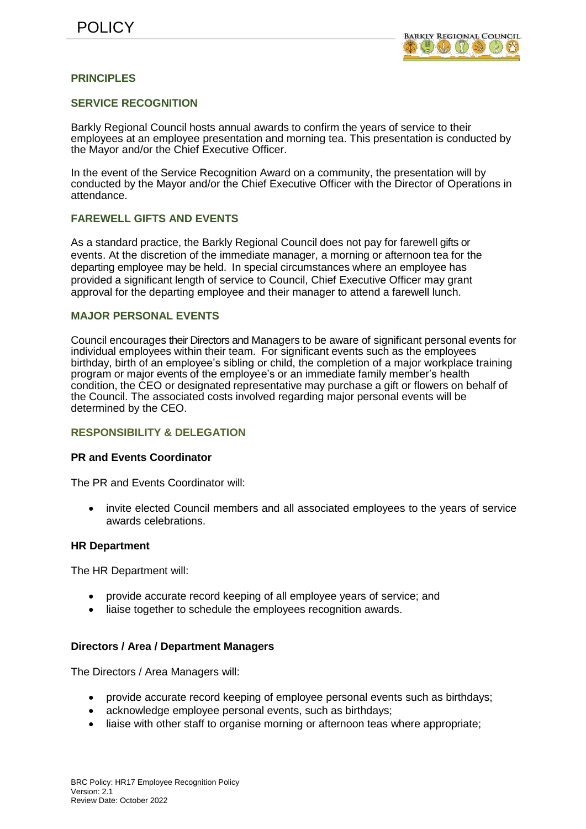

# **PRINCIPLES**

### **SERVICE RECOGNITION**

Barkly Regional Council hosts annual awards to confirm the years of service to their employees at an employee presentation and morning tea. This presentation is conducted by the Mayor and/or the Chief Executive Officer.

In the event of the Service Recognition Award on a community, the presentation will by conducted by the Mayor and/or the Chief Executive Officer with the Director of Operations in attendance.

## **FAREWELL GIFTS AND EVENTS**

As a standard practice, the Barkly Regional Council does not pay for farewell gifts or events. At the discretion of the immediate manager, a morning or afternoon tea for the departing employee may be held. In special circumstances where an employee has provided a significant length of service to Council, Chief Executive Officer may grant approval for the departing employee and their manager to attend a farewell lunch.

#### **MAJOR PERSONAL EVENTS**

Council encourages their Directors and Managers to be aware of significant personal events for individual employees within their team. For significant events such as the employees birthday, birth of an employee's sibling or child, the completion of a major workplace training program or major events of the employee's or an immediate family member's health condition, the CEO or designated representative may purchase a gift or flowers on behalf of the Council. The associated costs involved regarding major personal events will be determined by the CEO.

#### **RESPONSIBILITY & DELEGATION**

#### **PR and Events Coordinator**

The PR and Events Coordinator will:

 invite elected Council members and all associated employees to the years of service awards celebrations.

#### **HR Department**

The HR Department will:

- provide accurate record keeping of all employee years of service; and
- liaise together to schedule the employees recognition awards.

#### **Directors / Area / Department Managers**

The Directors / Area Managers will:

- provide accurate record keeping of employee personal events such as birthdays;
- acknowledge employee personal events, such as birthdays;
- liaise with other staff to organise morning or afternoon teas where appropriate;